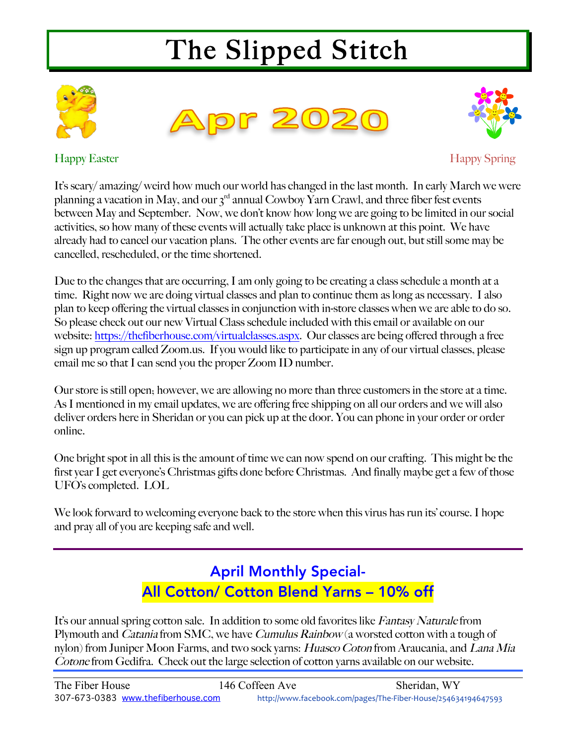# The Slipped Stitch







Happy Easter Happy Spring

It's scary/ amazing/ weird how much our world has changed in the last month. In early March we were planning a vacation in May, and our  $3<sup>rd</sup>$  annual Cowboy Yarn Crawl, and three fiber fest events between May and September. Now, we don't know how long we are going to be limited in our social activities, so how many of these events will actually take place is unknown at this point. We have already had to cancel our vacation plans. The other events are far enough out, but still some may be cancelled, rescheduled, or the time shortened.

Due to the changes that are occurring, I am only going to be creating a class schedule a month at a time. Right now we are doing virtual classes and plan to continue them as long as necessary. I also plan to keep offering the virtual classes in conjunction with in-store classes when we are able to do so. So please check out our new Virtual Class schedule included with this email or available on our website: https://thefiberhouse.com/virtualclasses.aspx. Our classes are being offered through a free sign up program called Zoom.us. If you would like to participate in any of our virtual classes, please email me so that I can send you the proper Zoom ID number.

Our store is still open; however, we are allowing no more than three customers in the store at a time. As I mentioned in my email updates, we are offering free shipping on all our orders and we will also deliver orders here in Sheridan or you can pick up at the door. You can phone in your order or order online.

One bright spot in all this is the amount of time we can now spend on our crafting. This might be the first year I get everyone's Christmas gifts done before Christmas. And finally maybe get a few of those UFO's completed. LOL

We look forward to welcoming everyone back to the store when this virus has run its' course. I hope and pray all of you are keeping safe and well.

## April Monthly Special-All Cotton/ Cotton Blend Yarns – 10% off

It's our annual spring cotton sale. In addition to some old favorites like Fantasy Naturale from Plymouth and *Catania* from SMC, we have *Cumulus Rainbow* (a worsted cotton with a tough of nylon) from Juniper Moon Farms, and two sock yarns: Huasco Coton from Araucania, and Lana Mia Cotone from Gedifra. Check out the large selection of cotton yarns available on our website.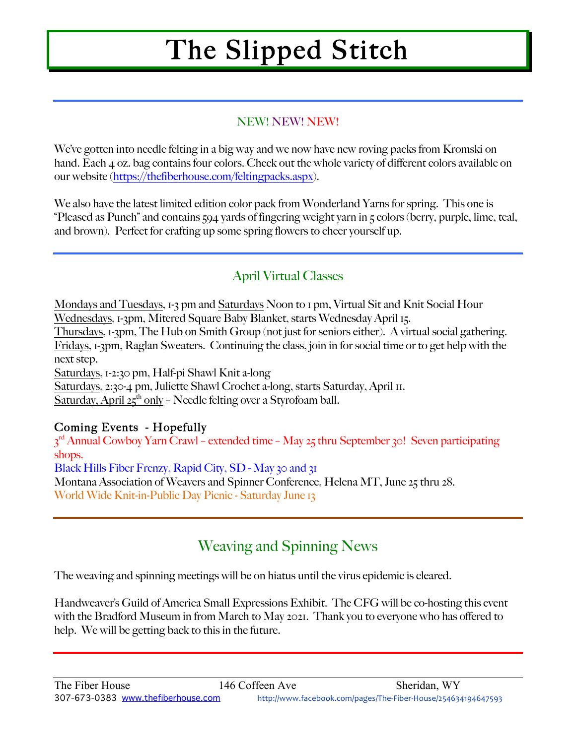# The Slipped Stitch

#### NEW! NEW! NEW!

We've gotten into needle felting in a big way and we now have new roving packs from Kromski on hand. Each 4 oz. bag contains four colors. Check out the whole variety of different colors available on our website (https://thefiberhouse.com/feltingpacks.aspx).

We also have the latest limited edition color pack from Wonderland Yarns for spring. This one is "Pleased as Punch" and contains 594 yards of fingering weight yarn in 5 colors (berry, purple, lime, teal, and brown). Perfect for crafting up some spring flowers to cheer yourself up.

### April Virtual Classes

Mondays and Tuesdays, 1-3 pm and Saturdays Noon to 1 pm, Virtual Sit and Knit Social Hour Wednesdays, 1-3pm, Mitered Square Baby Blanket, starts Wednesday April 15.

Thursdays, 1-3pm, The Hub on Smith Group (not just for seniors either). A virtual social gathering. Fridays, 1-3pm, Raglan Sweaters. Continuing the class, join in for social time or to get help with the next step.

Saturdays, 1-2:30 pm, Half-pi Shawl Knit a-long

Saturdays, 2:30-4 pm, Juliette Shawl Crochet a-long, starts Saturday, April 11.

Saturday, April  $25<sup>th</sup>$  only – Needle felting over a Styrofoam ball.

#### Coming Events - Hopefully

3<sup>rd</sup> Annual Cowboy Yarn Crawl – extended time – May 25 thru September 30! Seven participating shops. Black Hills Fiber Frenzy, Rapid City, SD - May 30 and 31 Montana Association of Weavers and Spinner Conference, Helena MT, June 25 thru 28. World Wide Knit-in-Public Day Picnic - Saturday June 13

## Weaving and Spinning News

The weaving and spinning meetings will be on hiatus until the virus epidemic is cleared.

Handweaver's Guild of America Small Expressions Exhibit. The CFG will be co-hosting this event with the Bradford Museum in from March to May 2021. Thank you to everyone who has offered to help. We will be getting back to this in the future.